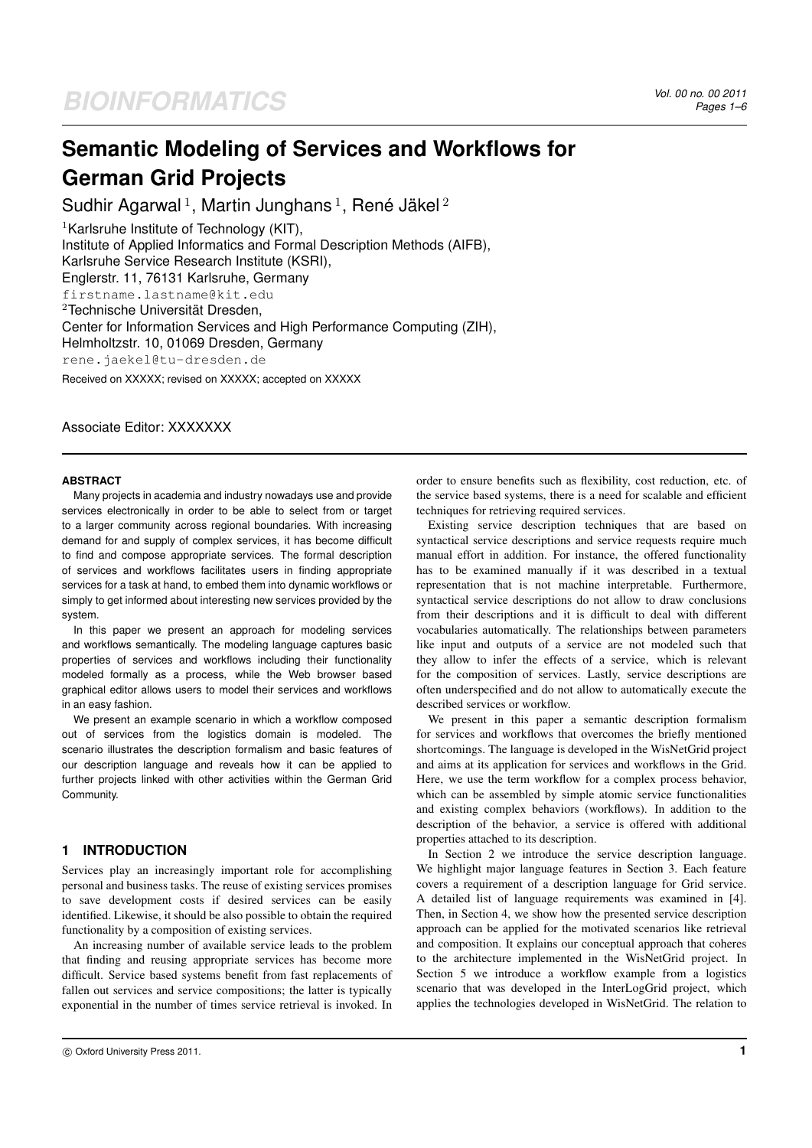# **Semantic Modeling of Services and Workflows for German Grid Projects**

Sudhir Agarwal<sup>1</sup>, Martin Junghans<sup>1</sup>, René Jäkel<sup>2</sup>

<sup>1</sup>Karlsruhe Institute of Technology (KIT), Institute of Applied Informatics and Formal Description Methods (AIFB), Karlsruhe Service Research Institute (KSRI), Englerstr. 11, 76131 Karlsruhe, Germany firstname.lastname@kit.edu  $2$ Technische Universität Dresden, Center for Information Services and High Performance Computing (ZIH), Helmholtzstr. 10, 01069 Dresden, Germany rene.jaekel@tu-dresden.de Received on XXXXX; revised on XXXXX; accepted on XXXXX

Associate Editor: XXXXXXX

#### **ABSTRACT**

Many projects in academia and industry nowadays use and provide services electronically in order to be able to select from or target to a larger community across regional boundaries. With increasing demand for and supply of complex services, it has become difficult to find and compose appropriate services. The formal description of services and workflows facilitates users in finding appropriate services for a task at hand, to embed them into dynamic workflows or simply to get informed about interesting new services provided by the system.

In this paper we present an approach for modeling services and workflows semantically. The modeling language captures basic properties of services and workflows including their functionality modeled formally as a process, while the Web browser based graphical editor allows users to model their services and workflows in an easy fashion.

We present an example scenario in which a workflow composed out of services from the logistics domain is modeled. The scenario illustrates the description formalism and basic features of our description language and reveals how it can be applied to further projects linked with other activities within the German Grid Community.

# **1 INTRODUCTION**

Services play an increasingly important role for accomplishing personal and business tasks. The reuse of existing services promises to save development costs if desired services can be easily identified. Likewise, it should be also possible to obtain the required functionality by a composition of existing services.

An increasing number of available service leads to the problem that finding and reusing appropriate services has become more difficult. Service based systems benefit from fast replacements of fallen out services and service compositions; the latter is typically exponential in the number of times service retrieval is invoked. In

order to ensure benefits such as flexibility, cost reduction, etc. of the service based systems, there is a need for scalable and efficient techniques for retrieving required services.

Existing service description techniques that are based on syntactical service descriptions and service requests require much manual effort in addition. For instance, the offered functionality has to be examined manually if it was described in a textual representation that is not machine interpretable. Furthermore, syntactical service descriptions do not allow to draw conclusions from their descriptions and it is difficult to deal with different vocabularies automatically. The relationships between parameters like input and outputs of a service are not modeled such that they allow to infer the effects of a service, which is relevant for the composition of services. Lastly, service descriptions are often underspecified and do not allow to automatically execute the described services or workflow.

We present in this paper a semantic description formalism for services and workflows that overcomes the briefly mentioned shortcomings. The language is developed in the WisNetGrid project and aims at its application for services and workflows in the Grid. Here, we use the term workflow for a complex process behavior, which can be assembled by simple atomic service functionalities and existing complex behaviors (workflows). In addition to the description of the behavior, a service is offered with additional properties attached to its description.

In Section 2 we introduce the service description language. We highlight major language features in Section 3. Each feature covers a requirement of a description language for Grid service. A detailed list of language requirements was examined in [4]. Then, in Section 4, we show how the presented service description approach can be applied for the motivated scenarios like retrieval and composition. It explains our conceptual approach that coheres to the architecture implemented in the WisNetGrid project. In Section 5 we introduce a workflow example from a logistics scenario that was developed in the InterLogGrid project, which applies the technologies developed in WisNetGrid. The relation to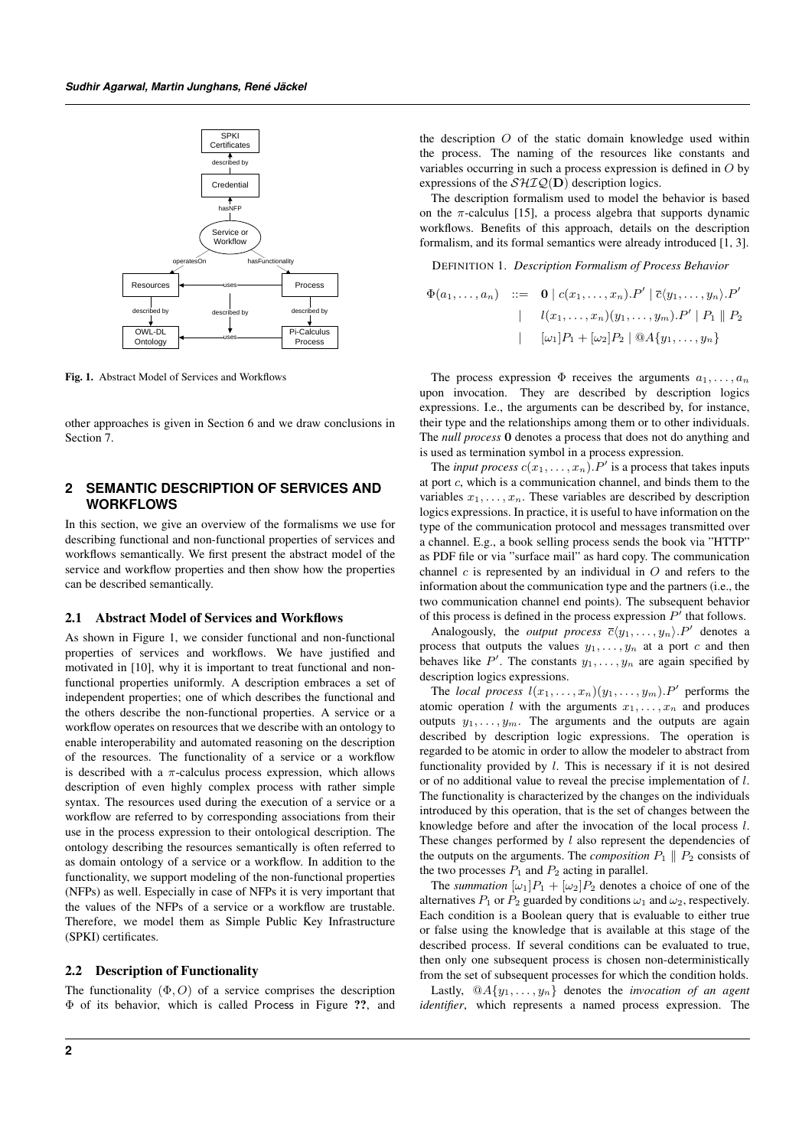

Fig. 1. Abstract Model of Services and Workflows

other approaches is given in Section 6 and we draw conclusions in Section 7.

# **2 SEMANTIC DESCRIPTION OF SERVICES AND WORKFLOWS**

In this section, we give an overview of the formalisms we use for describing functional and non-functional properties of services and workflows semantically. We first present the abstract model of the service and workflow properties and then show how the properties can be described semantically.

#### 2.1 Abstract Model of Services and Workflows

As shown in Figure 1, we consider functional and non-functional properties of services and workflows. We have justified and motivated in [10], why it is important to treat functional and nonfunctional properties uniformly. A description embraces a set of independent properties; one of which describes the functional and the others describe the non-functional properties. A service or a workflow operates on resources that we describe with an ontology to enable interoperability and automated reasoning on the description of the resources. The functionality of a service or a workflow is described with a  $\pi$ -calculus process expression, which allows description of even highly complex process with rather simple syntax. The resources used during the execution of a service or a workflow are referred to by corresponding associations from their use in the process expression to their ontological description. The ontology describing the resources semantically is often referred to as domain ontology of a service or a workflow. In addition to the functionality, we support modeling of the non-functional properties (NFPs) as well. Especially in case of NFPs it is very important that the values of the NFPs of a service or a workflow are trustable. Therefore, we model them as Simple Public Key Infrastructure (SPKI) certificates.

#### 2.2 Description of Functionality

The functionality  $(\Phi, O)$  of a service comprises the description Φ of its behavior, which is called Process in Figure ??, and the description O of the static domain knowledge used within the process. The naming of the resources like constants and variables occurring in such a process expression is defined in O by expressions of the  $\mathcal{SHIQ}(\mathbf{D})$  description logics.

The description formalism used to model the behavior is based on the  $\pi$ -calculus [15], a process algebra that supports dynamic workflows. Benefits of this approach, details on the description formalism, and its formal semantics were already introduced [1, 3].

DEFINITION 1. *Description Formalism of Process Behavior*

$$
\Phi(a_1,\ldots,a_n) \quad ::= \quad \mathbf{0} \mid c(x_1,\ldots,x_n).P' \mid \overline{c}\langle y_1,\ldots,y_n\rangle.P'
$$
\n
$$
\mid \quad l(x_1,\ldots,x_n)(y_1,\ldots,y_m).P' \mid P_1 \parallel P_2
$$
\n
$$
\mid \quad [\omega_1]P_1 + [\omega_2]P_2 \mid \text{QA}\{y_1,\ldots,y_n\}
$$

The process expression  $\Phi$  receives the arguments  $a_1, \ldots, a_n$ upon invocation. They are described by description logics expressions. I.e., the arguments can be described by, for instance, their type and the relationships among them or to other individuals. The *null process* 0 denotes a process that does not do anything and is used as termination symbol in a process expression.

The *input process*  $c(x_1, \ldots, x_n)$ . P' is a process that takes inputs at port c, which is a communication channel, and binds them to the variables  $x_1, \ldots, x_n$ . These variables are described by description logics expressions. In practice, it is useful to have information on the type of the communication protocol and messages transmitted over a channel. E.g., a book selling process sends the book via "HTTP" as PDF file or via "surface mail" as hard copy. The communication channel  $c$  is represented by an individual in  $O$  and refers to the information about the communication type and the partners (i.e., the two communication channel end points). The subsequent behavior of this process is defined in the process expression  $P'$  that follows.

Analogously, the *output process*  $\overline{c}\langle y_1, \ldots, y_n \rangle P'$  denotes a process that outputs the values  $y_1, \ldots, y_n$  at a port c and then behaves like  $P'$ . The constants  $y_1, \ldots, y_n$  are again specified by description logics expressions.

The *local process*  $l(x_1, \ldots, x_n)(y_1, \ldots, y_m)$ . P' performs the atomic operation l with the arguments  $x_1, \ldots, x_n$  and produces outputs  $y_1, \ldots, y_m$ . The arguments and the outputs are again described by description logic expressions. The operation is regarded to be atomic in order to allow the modeler to abstract from functionality provided by  $l$ . This is necessary if it is not desired or of no additional value to reveal the precise implementation of l. The functionality is characterized by the changes on the individuals introduced by this operation, that is the set of changes between the knowledge before and after the invocation of the local process l. These changes performed by  $l$  also represent the dependencies of the outputs on the arguments. The *composition*  $P_1 \parallel P_2$  consists of the two processes  $P_1$  and  $P_2$  acting in parallel.

The *summation*  $[\omega_1]P_1 + [\omega_2]P_2$  denotes a choice of one of the alternatives  $P_1$  or  $P_2$  guarded by conditions  $\omega_1$  and  $\omega_2$ , respectively. Each condition is a Boolean query that is evaluable to either true or false using the knowledge that is available at this stage of the described process. If several conditions can be evaluated to true, then only one subsequent process is chosen non-deterministically from the set of subsequent processes for which the condition holds.

Lastly,  $@A{y_1, \ldots, y_n}$  denotes the *invocation of an agent identifier*, which represents a named process expression. The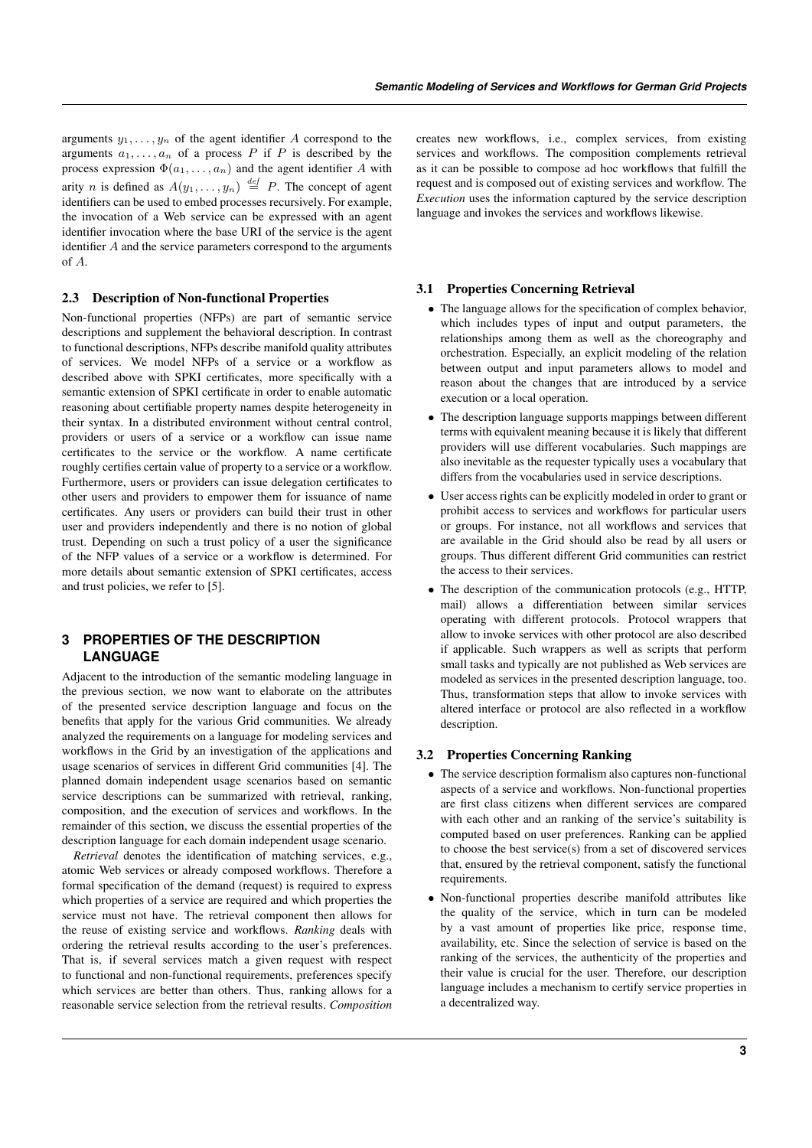arguments  $y_1, \ldots, y_n$  of the agent identifier A correspond to the arguments  $a_1, \ldots, a_n$  of a process P if P is described by the process expression  $\Phi(a_1, \ldots, a_n)$  and the agent identifier A with arity *n* is defined as  $A(y_1, \ldots, y_n) \stackrel{def}{=} P$ . The concept of agent identifiers can be used to embed processes recursively. For example, the invocation of a Web service can be expressed with an agent identifier invocation where the base URI of the service is the agent identifier A and the service parameters correspond to the arguments of A.

# 2.3 Description of Non-functional Properties

Non-functional properties (NFPs) are part of semantic service descriptions and supplement the behavioral description. In contrast to functional descriptions, NFPs describe manifold quality attributes of services. We model NFPs of a service or a workflow as described above with SPKI certificates, more specifically with a semantic extension of SPKI certificate in order to enable automatic reasoning about certifiable property names despite heterogeneity in their syntax. In a distributed environment without central control, providers or users of a service or a workflow can issue name certificates to the service or the workflow. A name certificate roughly certifies certain value of property to a service or a workflow. Furthermore, users or providers can issue delegation certificates to other users and providers to empower them for issuance of name certificates. Any users or providers can build their trust in other user and providers independently and there is no notion of global trust. Depending on such a trust policy of a user the significance of the NFP values of a service or a workflow is determined. For more details about semantic extension of SPKI certificates, access and trust policies, we refer to [5].

# **3 PROPERTIES OF THE DESCRIPTION LANGUAGE**

Adjacent to the introduction of the semantic modeling language in the previous section, we now want to elaborate on the attributes of the presented service description language and focus on the benefits that apply for the various Grid communities. We already analyzed the requirements on a language for modeling services and workflows in the Grid by an investigation of the applications and usage scenarios of services in different Grid communities [4]. The planned domain independent usage scenarios based on semantic service descriptions can be summarized with retrieval, ranking, composition, and the execution of services and workflows. In the remainder of this section, we discuss the essential properties of the description language for each domain independent usage scenario.

*Retrieval* denotes the identification of matching services, e.g., atomic Web services or already composed workflows. Therefore a formal specification of the demand (request) is required to express which properties of a service are required and which properties the service must not have. The retrieval component then allows for the reuse of existing service and workflows. *Ranking* deals with ordering the retrieval results according to the user's preferences. That is, if several services match a given request with respect to functional and non-functional requirements, preferences specify which services are better than others. Thus, ranking allows for a reasonable service selection from the retrieval results. *Composition* creates new workflows, i.e., complex services, from existing services and workflows. The composition complements retrieval as it can be possible to compose ad hoc workflows that fulfill the request and is composed out of existing services and workflow. The *Execution* uses the information captured by the service description language and invokes the services and workflows likewise.

# 3.1 Properties Concerning Retrieval

- The language allows for the specification of complex behavior, which includes types of input and output parameters, the relationships among them as well as the choreography and orchestration. Especially, an explicit modeling of the relation between output and input parameters allows to model and reason about the changes that are introduced by a service execution or a local operation.
- The description language supports mappings between different terms with equivalent meaning because it is likely that different providers will use different vocabularies. Such mappings are also inevitable as the requester typically uses a vocabulary that differs from the vocabularies used in service descriptions.
- User access rights can be explicitly modeled in order to grant or prohibit access to services and workflows for particular users or groups. For instance, not all workflows and services that are available in the Grid should also be read by all users or groups. Thus different different Grid communities can restrict the access to their services.
- The description of the communication protocols (e.g., HTTP, mail) allows a differentiation between similar services operating with different protocols. Protocol wrappers that allow to invoke services with other protocol are also described if applicable. Such wrappers as well as scripts that perform small tasks and typically are not published as Web services are modeled as services in the presented description language, too. Thus, transformation steps that allow to invoke services with altered interface or protocol are also reflected in a workflow description.

# 3.2 Properties Concerning Ranking

- The service description formalism also captures non-functional aspects of a service and workflows. Non-functional properties are first class citizens when different services are compared with each other and an ranking of the service's suitability is computed based on user preferences. Ranking can be applied to choose the best service(s) from a set of discovered services that, ensured by the retrieval component, satisfy the functional requirements.
- Non-functional properties describe manifold attributes like the quality of the service, which in turn can be modeled by a vast amount of properties like price, response time, availability, etc. Since the selection of service is based on the ranking of the services, the authenticity of the properties and their value is crucial for the user. Therefore, our description language includes a mechanism to certify service properties in a decentralized way.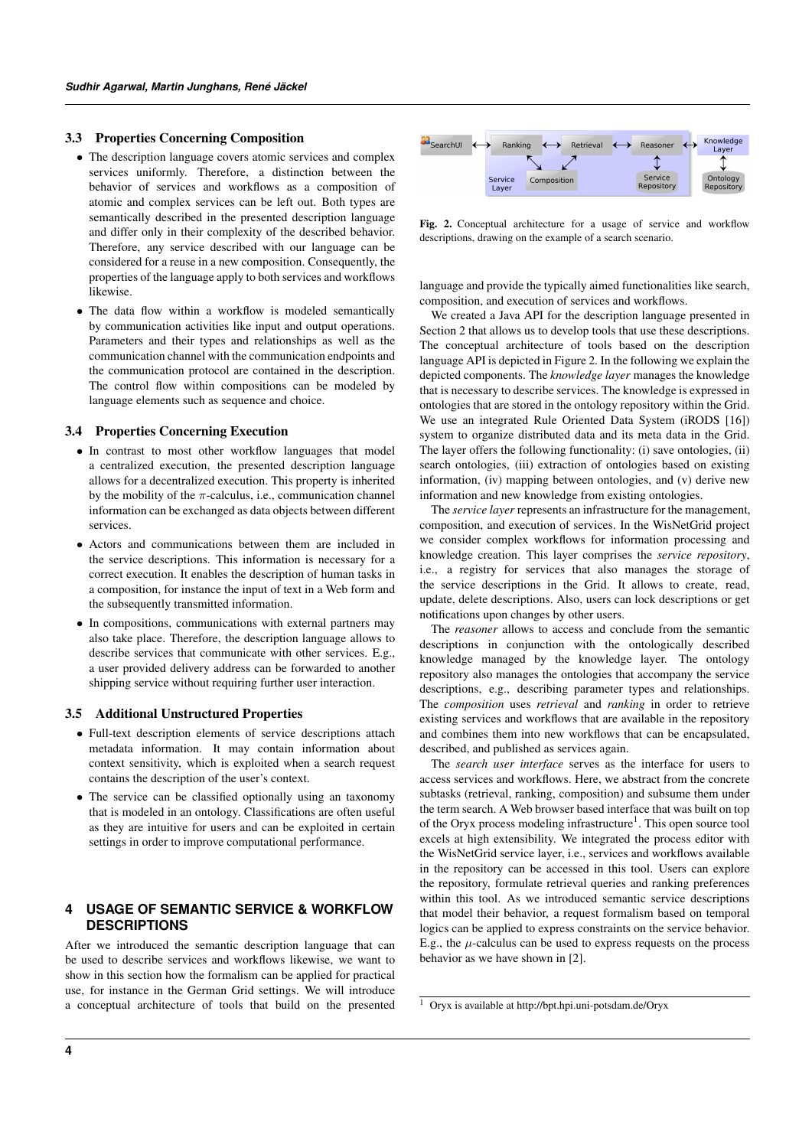#### 3.3 Properties Concerning Composition

- The description language covers atomic services and complex services uniformly. Therefore, a distinction between the behavior of services and workflows as a composition of atomic and complex services can be left out. Both types are semantically described in the presented description language and differ only in their complexity of the described behavior. Therefore, any service described with our language can be considered for a reuse in a new composition. Consequently, the properties of the language apply to both services and workflows likewise.
- The data flow within a workflow is modeled semantically by communication activities like input and output operations. Parameters and their types and relationships as well as the communication channel with the communication endpoints and the communication protocol are contained in the description. The control flow within compositions can be modeled by language elements such as sequence and choice.

#### 3.4 Properties Concerning Execution

- In contrast to most other workflow languages that model a centralized execution, the presented description language allows for a decentralized execution. This property is inherited by the mobility of the  $\pi$ -calculus, i.e., communication channel information can be exchanged as data objects between different services.
- Actors and communications between them are included in the service descriptions. This information is necessary for a correct execution. It enables the description of human tasks in a composition, for instance the input of text in a Web form and the subsequently transmitted information.
- In compositions, communications with external partners may also take place. Therefore, the description language allows to describe services that communicate with other services. E.g., a user provided delivery address can be forwarded to another shipping service without requiring further user interaction.

#### 3.5 Additional Unstructured Properties

- Full-text description elements of service descriptions attach metadata information. It may contain information about context sensitivity, which is exploited when a search request contains the description of the user's context.
- The service can be classified optionally using an taxonomy that is modeled in an ontology. Classifications are often useful as they are intuitive for users and can be exploited in certain settings in order to improve computational performance.

# **4 USAGE OF SEMANTIC SERVICE & WORKFLOW DESCRIPTIONS**

After we introduced the semantic description language that can be used to describe services and workflows likewise, we want to show in this section how the formalism can be applied for practical use, for instance in the German Grid settings. We will introduce a conceptual architecture of tools that build on the presented



Fig. 2. Conceptual architecture for a usage of service and workflow descriptions, drawing on the example of a search scenario.

language and provide the typically aimed functionalities like search, composition, and execution of services and workflows.

We created a Java API for the description language presented in Section 2 that allows us to develop tools that use these descriptions. The conceptual architecture of tools based on the description language API is depicted in Figure 2. In the following we explain the depicted components. The *knowledge layer* manages the knowledge that is necessary to describe services. The knowledge is expressed in ontologies that are stored in the ontology repository within the Grid. We use an integrated Rule Oriented Data System (iRODS [16]) system to organize distributed data and its meta data in the Grid. The layer offers the following functionality: (i) save ontologies, (ii) search ontologies, (iii) extraction of ontologies based on existing information, (iv) mapping between ontologies, and (v) derive new information and new knowledge from existing ontologies.

The *service layer* represents an infrastructure for the management, composition, and execution of services. In the WisNetGrid project we consider complex workflows for information processing and knowledge creation. This layer comprises the *service repository*, i.e., a registry for services that also manages the storage of the service descriptions in the Grid. It allows to create, read, update, delete descriptions. Also, users can lock descriptions or get notifications upon changes by other users.

The *reasoner* allows to access and conclude from the semantic descriptions in conjunction with the ontologically described knowledge managed by the knowledge layer. The ontology repository also manages the ontologies that accompany the service descriptions, e.g., describing parameter types and relationships. The *composition* uses *retrieval* and *ranking* in order to retrieve existing services and workflows that are available in the repository and combines them into new workflows that can be encapsulated, described, and published as services again.

The *search user interface* serves as the interface for users to access services and workflows. Here, we abstract from the concrete subtasks (retrieval, ranking, composition) and subsume them under the term search. A Web browser based interface that was built on top of the Oryx process modeling infrastructure<sup>1</sup>. This open source tool excels at high extensibility. We integrated the process editor with the WisNetGrid service layer, i.e., services and workflows available in the repository can be accessed in this tool. Users can explore the repository, formulate retrieval queries and ranking preferences within this tool. As we introduced semantic service descriptions that model their behavior, a request formalism based on temporal logics can be applied to express constraints on the service behavior. E.g., the  $\mu$ -calculus can be used to express requests on the process behavior as we have shown in [2].

<sup>1</sup> Oryx is available at http://bpt.hpi.uni-potsdam.de/Oryx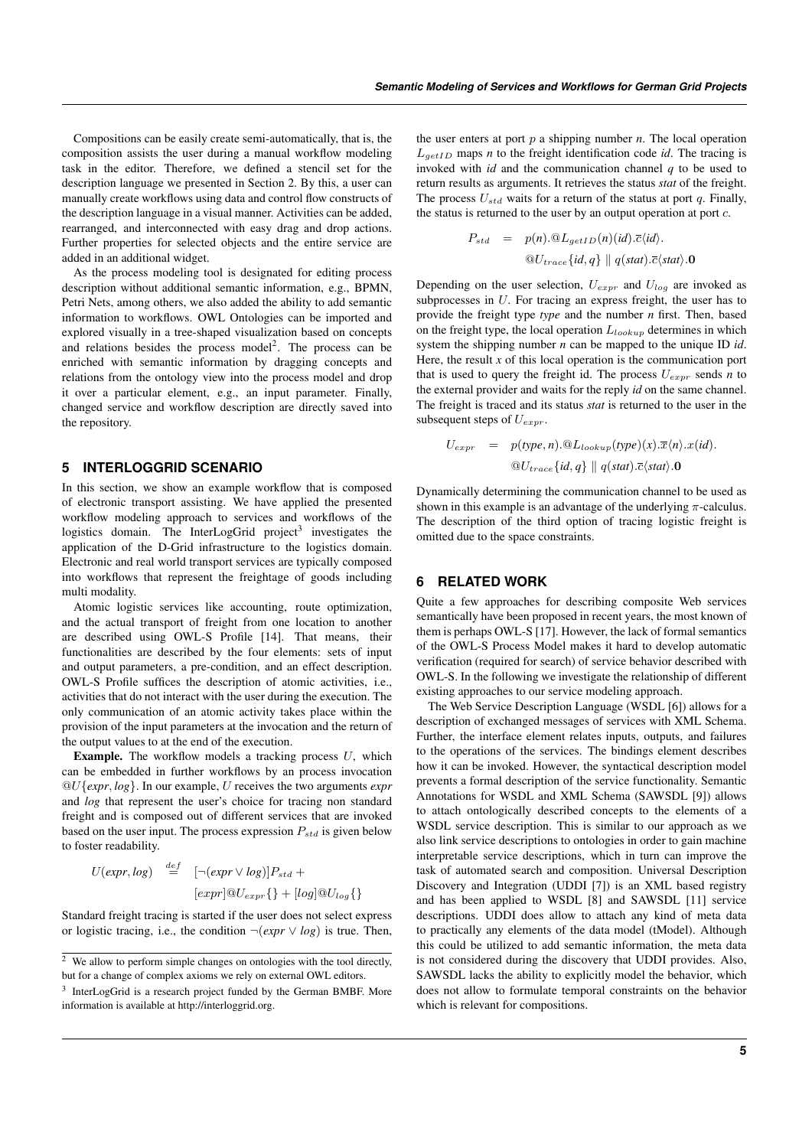Compositions can be easily create semi-automatically, that is, the composition assists the user during a manual workflow modeling task in the editor. Therefore, we defined a stencil set for the description language we presented in Section 2. By this, a user can manually create workflows using data and control flow constructs of the description language in a visual manner. Activities can be added, rearranged, and interconnected with easy drag and drop actions. Further properties for selected objects and the entire service are added in an additional widget.

As the process modeling tool is designated for editing process description without additional semantic information, e.g., BPMN, Petri Nets, among others, we also added the ability to add semantic information to workflows. OWL Ontologies can be imported and explored visually in a tree-shaped visualization based on concepts and relations besides the process model<sup>2</sup>. The process can be enriched with semantic information by dragging concepts and relations from the ontology view into the process model and drop it over a particular element, e.g., an input parameter. Finally, changed service and workflow description are directly saved into the repository.

#### **5 INTERLOGGRID SCENARIO**

In this section, we show an example workflow that is composed of electronic transport assisting. We have applied the presented workflow modeling approach to services and workflows of the logistics domain. The InterLogGrid project<sup>3</sup> investigates the application of the D-Grid infrastructure to the logistics domain. Electronic and real world transport services are typically composed into workflows that represent the freightage of goods including multi modality.

Atomic logistic services like accounting, route optimization, and the actual transport of freight from one location to another are described using OWL-S Profile [14]. That means, their functionalities are described by the four elements: sets of input and output parameters, a pre-condition, and an effect description. OWL-S Profile suffices the description of atomic activities, i.e., activities that do not interact with the user during the execution. The only communication of an atomic activity takes place within the provision of the input parameters at the invocation and the return of the output values to at the end of the execution.

**Example.** The workflow models a tracking process  $U$ , which can be embedded in further workflows by an process invocation @U{*expr*, *log*}. In our example, U receives the two arguments *expr* and *log* that represent the user's choice for tracing non standard freight and is composed out of different services that are invoked based on the user input. The process expression  $P_{std}$  is given below to foster readability.

$$
U(exp, log) \stackrel{def}{=} [-(expr \lor log)]P_{std} +
$$
  

$$
[expr] @U_{expr} \{\} + [log] @U_{log} \{\}
$$

Standard freight tracing is started if the user does not select express or logistic tracing, i.e., the condition  $\neg(exp \lor log)$  is true. Then, the user enters at port  $p$  a shipping number  $n$ . The local operation  $L_{\text{getID}}$  maps *n* to the freight identification code *id*. The tracing is invoked with *id* and the communication channel *q* to be used to return results as arguments. It retrieves the status *stat* of the freight. The process  $U_{std}$  waits for a return of the status at port q. Finally, the status is returned to the user by an output operation at port  $c$ .

$$
P_{std} = p(n) \cdot \mathcal{Q}L_{getID}(n)(id) \cdot \overline{c}\langle id \rangle.
$$
  

$$
\mathcal{Q}U_{trace}\{id, q\} \parallel q(stat) \cdot \overline{c}\langle stat \rangle.0
$$

Depending on the user selection,  $U_{\exp r}$  and  $U_{\log}$  are invoked as subprocesses in U. For tracing an express freight, the user has to provide the freight type *type* and the number *n* first. Then, based on the freight type, the local operation  $L_{lookup}$  determines in which system the shipping number *n* can be mapped to the unique ID *id*. Here, the result *x* of this local operation is the communication port that is used to query the freight id. The process  $U_{expr}$  sends *n* to the external provider and waits for the reply *id* on the same channel. The freight is traced and its status *stat* is returned to the user in the subsequent steps of  $U_{expr}$ .

$$
U_{expr} = p(\text{type}, n) \cdot \mathcal{Q}_{\text{Lookup}}(\text{type})(x) \cdot \overline{x} \langle n \rangle \cdot x(\text{id}).
$$
  

$$
\mathcal{Q}_{\text{trace}}\{\text{id}, q\} \parallel q(\text{stat}) \cdot \overline{c} \langle \text{stat} \rangle \cdot \mathbf{0}
$$

Dynamically determining the communication channel to be used as shown in this example is an advantage of the underlying  $\pi$ -calculus. The description of the third option of tracing logistic freight is omitted due to the space constraints.

# **6 RELATED WORK**

Quite a few approaches for describing composite Web services semantically have been proposed in recent years, the most known of them is perhaps OWL-S [17]. However, the lack of formal semantics of the OWL-S Process Model makes it hard to develop automatic verification (required for search) of service behavior described with OWL-S. In the following we investigate the relationship of different existing approaches to our service modeling approach.

The Web Service Description Language (WSDL [6]) allows for a description of exchanged messages of services with XML Schema. Further, the interface element relates inputs, outputs, and failures to the operations of the services. The bindings element describes how it can be invoked. However, the syntactical description model prevents a formal description of the service functionality. Semantic Annotations for WSDL and XML Schema (SAWSDL [9]) allows to attach ontologically described concepts to the elements of a WSDL service description. This is similar to our approach as we also link service descriptions to ontologies in order to gain machine interpretable service descriptions, which in turn can improve the task of automated search and composition. Universal Description Discovery and Integration (UDDI [7]) is an XML based registry and has been applied to WSDL [8] and SAWSDL [11] service descriptions. UDDI does allow to attach any kind of meta data to practically any elements of the data model (tModel). Although this could be utilized to add semantic information, the meta data is not considered during the discovery that UDDI provides. Also, SAWSDL lacks the ability to explicitly model the behavior, which does not allow to formulate temporal constraints on the behavior which is relevant for compositions.

 $\frac{2}{3}$  We allow to perform simple changes on ontologies with the tool directly, but for a change of complex axioms we rely on external OWL editors.

<sup>&</sup>lt;sup>3</sup> InterLogGrid is a research project funded by the German BMBF. More information is available at http://interloggrid.org.